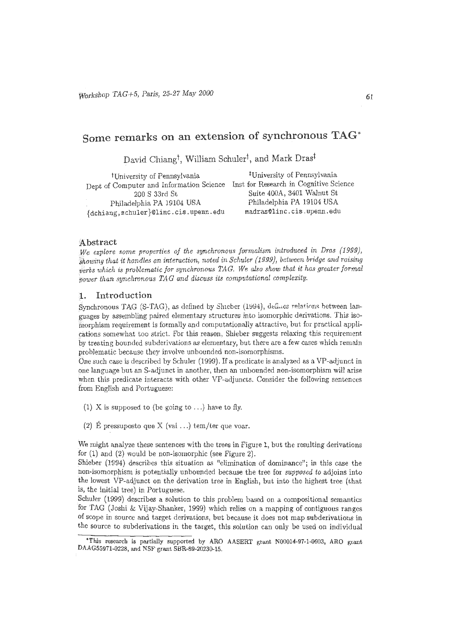# Some remarks on an extension of synchronous TAG\*

David Chiang<sup>†</sup>, William Schuler<sup>†</sup>, and Mark Dras<sup>‡</sup>

<sup>‡</sup>University of Pennsylvania <sup>†</sup>University of Pennsylvania Dept of Computer and Information Science Inst for Research in Cognitive Science Suite 400A, 3401 Walnut St 200 S 33rd St Philadelphia PA 19104 USA Philadelphia PA 19104 USA {dchiang, schuler}@linc.cis.upenn.edu madras@linc.cis.upenn.edu

#### Abstract

We explore some properties of the synchronous formalism introduced in Dras (1999), showing that it handles an interaction, noted in Schuler (1999), between bridge and raising verbs which is problematic for synchronous TAG. We also show that it has greater formal nower than synchronous TAG and discuss its computational complexity.

#### Introduction 1.

Synchronous TAG (S-TAG), as defined by Shieber (1994), defines relations between languages by assembling paired elementary structures into isomorphic derivations. This isomorphism requirement is formally and computationally attractive, but for practical applications somewhat too strict. For this reason, Shieber suggests relaxing this requirement by treating bounded subderivations as elementary, but there are a few cases which remain problematic because they involve unbounded non-isomorphisms.

One such case is described by Schuler (1999). If a predicate is analyzed as a VP-adjunct in one language but an S-adjunct in another, then an unbounded non-isomorphism will arise when this predicate interacts with other VP-adjuncts, Consider the following sentences from English and Portuguese:

- (1) X is supposed to (be going to ...) have to fly.
- (2) É pressuposto que X (vai ...) tem/ter que voar.

We might analyze these sentences with the trees in Figure 1, but the resulting derivations for  $(1)$  and  $(2)$  would be non-isomorphic (see Figure 2).

Shieber (1994) describes this situation as "elimination of dominance"; in this case the non-isomorphism is potentially unbounded because the tree for *supposed* to adjoins into the lowest VP-adjunct on the derivation tree in English, but into the highest tree (that is, the initial tree) in Portuguese.

Schuler (1999) describes a solution to this problem based on a compositional semantics for TAG (Joshi & Vijay-Shanker, 1999) which relies on a mapping of contiguous ranges of scope in source and target derivations, but because it does not map subderivations in the source to subderivations in the target, this solution can only be used on individual

<sup>\*</sup>This research is partially supported by ARO AASERT grant N00014-97-1-0603, ARO grant DAAG55971-0228, and NSF grant SBR-89-20230-15.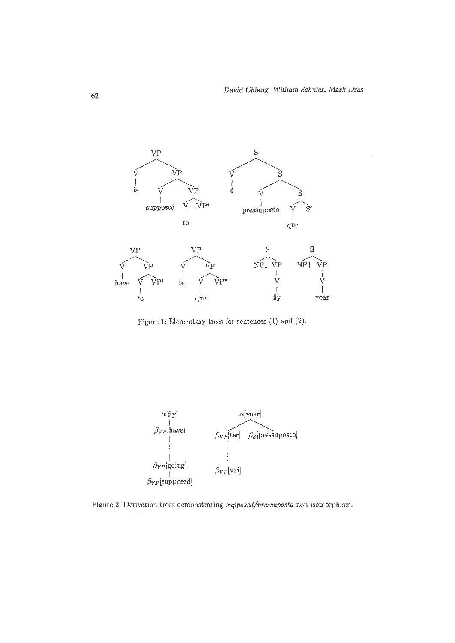

Figure 1: Elementary trees for sentences (1) and (2).



Figure 2: Derivation trees demonstrating supposed/pressuposto non-isomorphism.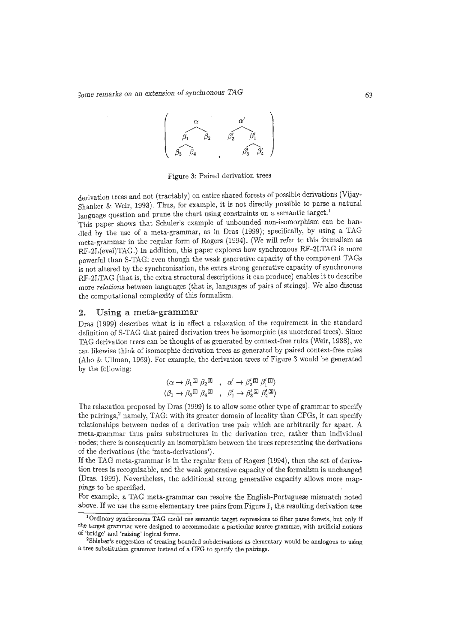

Figure 3: Paired derivation trees

derivation trees and not (tractably) on entire shared forests of possible derivations (Vijay-Shanker & Vveir, 1993). Thus, for example, it is not directly possible *to* parse a natural language question and prune the chart using constraints on a semantic target.<sup>1</sup>

This paper shows that Schuler's example of unbounded non-isomorphism can be handled by the use of a meta-grammar, as in Dras (1999); specifically, by using a TAG meta-grammar in the regular form of Rogers (1994). (We will refer to this formalism as RF-2L(evel)TAG.) In addition, this paper explores how synchronous RF-2LTAG is more powerful than S-TAG: even though the weak generative capacity of the component TAGs is not altered by the synchronisation, the extra strong generative capacity of synchronous RF-2LTAG (that is, the extra structural descriptions it can produce) enables it to describe more *relations* between languages ( that is, languages of pairs of strings). We also discuss the computational complexity of this formalism.

#### **2. Using a meta-grammar**

Dras (1999) describes what is in effect a relaxation of the requirement in the standard definition of S-TAG that paired derivation trees be isomorphic (as unordered trees). Since TAG derivation trees can be thought of as generated by context-free rules (Weir, 1988), we can likewise think of isomorphic derivation trees as generated by paired context-free rules (Aho & Ullman, 1969). For example, the derivation trees of Figure 3 would be generated by the following:

$$
\begin{array}{ccc}\langle \alpha\rightarrow\beta_1{}^{\boxdot}\,\beta_2{}^{\boxdot}\,\ ,\quad \alpha'\rightarrow\beta_2'{}^{\boxdot}\,\beta_1'{}^{\boxdot}\rangle\\ \langle \beta_1\rightarrow\beta_3{}^{\boxdot}\,\beta_4{}^{\boxdot}\,\ ,\quad \beta_1'\rightarrow\beta_3'{}^{\boxdot}\,\beta_2'{}^{\boxdot}\end{array}
$$

The relaxation proposed by Dras (1999) is to allow some other type of grammar to specify the pairings,<sup>2</sup> namely, TAG: with its greater domain of locality than CFGs, it can specify relationships between nodes of a derivation tree pair which are arbitrarily far apart. A meta-grammar thus pairs substructures in the derivation tree, rather than individual nodes; there is consequently an isomorphism between the trees representing the derivations of the derivations ( the 'meta-derivations').

If the TAG meta-grammar is in the regnlar form of Rogers (1994), then the set of derivation trees is recognizable, and the weak generative capacity of the formalism is unchanged {Dras, 1999)~ Nevertheless, the additional strong generative capacity allows more mappings to be specified.

For example, a TAG meta-grammar can resolve the English-Portuguese mismatch noted above. If we use the same elementary tree pairs from Figure **1,** the resulting derivation tree

 $^1$ Ordinary synchronous TAG could use semantic target expressions to filter parse forests, but only if the target grammar were designed to accommodate a particular source grammar, with artificial notions of 'bridge' and 'raising' logical forms. 2

<sup>&</sup>lt;sup>2</sup>Shieber's suggestion of treating bounded subderivations as elementary would be analogous to using a tree substitution grammar instead of a CFG to specify the pairings.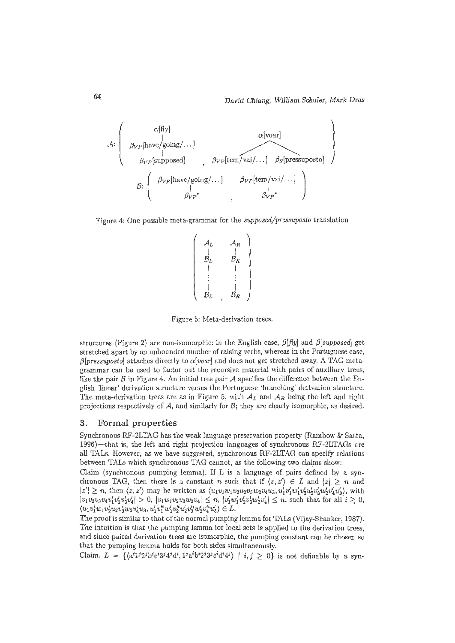$$
\mathcal{A}: \left( \begin{array}{ccc} \alpha[\text{fly}] & \alpha[\text{voar}] \\ \beta_{VP}[\text{have}/\text{going}/\dots] & \beta_{VP}[\text{temposed}] \\ \beta_{VP}[\text{supposed}] & \beta_{VP}[\text{tem}/\text{vai}/\dots] & \beta_{S}[\text{pressupostol}] \\ \beta & \beta_{VP}[\text{have}/\text{going}/\dots] & \beta_{VP}[\text{tem}/\text{vai}/\dots] \\ \beta_{VP} & \beta_{VP} & \beta_{VP} \end{array} \right)
$$

Figure 4: One possible meta-grammar for the *supposed/pressuposto* translation

$$
\left(\begin{array}{ccc} A_L & A_R \\ \downarrow & \downarrow & \\ B_L & B_R \\ \downarrow & \downarrow & \\ \vdots & \vdots & \vdots \\ B_L & B_R \end{array}\right)
$$

Figure 5: Meta-derivation trees.

structures (Figure 2) are non-isomorphic: in the English case,  $\beta[f\psi]$  and  $\beta[supposed]$  get stretched apart by an unbounded number of raising verbs, whereas in the Portuguese case,  $\beta$ [pressuposto] attaches directly to  $\alpha$ [voar] and does not get stretched away. A TAG metagrammar can be used to factor out the recursive material with pairs of auxiliary trees, like the pair  $\beta$  in Figure 4. An initial tree pair  $\mathcal A$  specifies the difference between the English 'linear' derivation structure versus the Portuguese 'branching' derivation structure. The meta-derivation trees are as in Figure 5, with  $A_L$  and  $A_R$  being the left and right projections respectively of  $A$ , and similarly for  $B$ ; they are clearly isomorphic, as desired.

#### **3. Formal properties**

Synchronous RF-2LTAG has the weak language preservation property (Rambow & Satta, 1996)-that is, the left and right projection languages of synchronous RF-2LTAGs are all TALs. However, *as* we have suggested, synchronous RF-2LTAG can specify relations between TALs which synchronous TAG cannot, as the following two claims show:

Claim (synchronous pumping lemma). If L is a language of pairs defined by a synchronous TAG, then there is a constant *n* such that if  $\langle z, z' \rangle \in L$  and  $|z| \geq n$  and  $|z'| \geq n$ , then  $\langle z, z' \rangle$  may be written as  $\langle u_1 v_1 w_1 v_2 u_2 v_3 w_2 v_4 u_3, u'_1 v'_1 w'_1 v'_2 u'_2 v'_3 w'_2 v'_4 u'_3 \rangle$ , with  $|v_1v_2v_3v_4v_1'v_2'v_3'v_4'| > 0$ ,  $|v_1w_1v_2v_3w_2v_4| \leq n$ ,  $|v_1'w_1'v_2'v_3'w_2'v_4'| \leq n$ , such that for all  $i \geq 0$ ,  $\langle u_1 v_1^i w_1 v_2^i u_2 v_3^i w_2 v_4^i u_3, u_1' v_1'' w_1' v_2'^i u_2' v_3'^i w_2' v_4'^i u_3' \rangle \in L.$ 

The proof is similar to that of the normal pumping lemma for TALs (Vijay-Shanker, 1987). The intuition is that the pumping lemma for local sets is applied to the derivation trees, and since paired derivation trees are isomorphic, the pumping constant can be chosen so that the pumping lemma holds for both sides simultaneously.

Claim.  $L = \{ \langle a^i 1^j 2^j b^i c^i 3^j 4^j d^i, 1^j a^i b^i 2^j 3^j c^i d^i 4^j \rangle \mid i, j \geq 0 \}$  is not definable by a syn-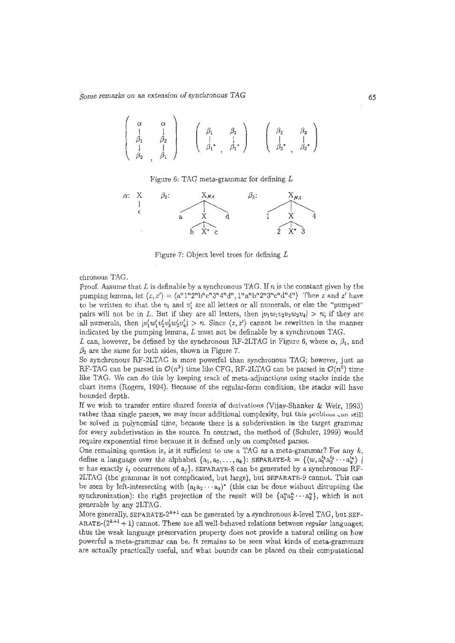$$
\left(\begin{array}{ccc}\n\alpha & \alpha \\
\vdots & \vdots \\
\beta_1 & \beta_2 \\
\vdots & \vdots \\
\beta_2 & \vdots \\
\beta_1 & \beta_1\n\end{array}\right) \quad \left(\begin{array}{ccc}\n\beta_1 & \beta_1 \\
\vdots & \vdots \\
\beta_1^*, & \beta_1^*\n\end{array}\right) \quad \left(\begin{array}{ccc}\n\beta_2 & \beta_2 \\
\vdots & \vdots \\
\beta_2^*, & \beta_2^*\n\end{array}\right)
$$

Figure 6: TAG meta-grammar for defining  $L$ 



Figure 7: Object level trees for defining L

chronous TAG.

Proof. Assume that L is definable by a synchronous TAG. lf *n* is the constant given by the pumping lemma, let  $\langle z, z' \rangle = \langle a^n 1^n 2^n b^n c^n 3^n 4^n d^n, 1^n a^n b^n 2^n 3^n c^n d^n 4^n \rangle$  Then *z* and *z'* have to be written so that the  $v_i$  and  $v'_i$  are all letters or all numerals, or else the "pumped" pairs will not be in *L*. But if they are all letters, then  $|v_1w_1v_2v_3w_2v_4| > n$ ; if they are all numerals, then  $|v'_1w'_1v'_2v'_3w'_2v'_4| > n$ . Since  $\langle z, z' \rangle$  cannot be rewritten in the manner indicated by the pumping lemma,  $L$  must not be definable by a synchronous TAG.

L can, however, be defined by the synchronous RF-2LTAG in Figure 6, where  $\alpha$ ,  $\beta_1$ , and  $\beta_2$  are the same for both sides, shown in Figure 7.

So synchronous RF-2LTAG is more powerful than synchronous TAG; however, just as RF-TAG can be parsed in  $\mathcal{O}(n^3)$  time like CFG, RF-2LTAG can be parsed in  $\mathcal{O}(n^6)$  time like TAG. We can do this by keeping track of meta-adjunctions using stacks inside the chart items (Rogers, 1994). Because of the regular-form condition, the stacks will have bounded depth.

lf we wish to transfer entire shared forests of derivations (Vijay-Shanker & Weir, 1993) rather than single parses, we may incur additional complexity, but this problem can still be solved in polynomial time, because there is a subderivation in the target grammar for every subderivation in the source. In contrast, the method of (Schuler, 1999) would require exponential time because it is defined only on completed parses.

One remaining question is, is it sufficient to use a TAG as a meta-grammar? For any  $k$ , define a language over the alphabet  $\{a_1, a_2, \ldots, a_k\}$ : SEPARATE- $k = \{(w, a_1^{i_1} a_2^{i_2} \cdots a_k^{i_k})\mid$ w has exactly  $i_j$  occurrences of  $a_j$ }. SEPARATE-8 can be generated by a synchronous RF-2LTAG (the· grammar is not complicated, but !arge), but SEPARATE-9 cannot. This can be seen by left-intersecting with  $(a_1a_2 \cdots a_9)^*$  (this can be done without disrupting the synchronization): the right projection of the result will be  $\{a_1^n a_2^n \cdots a_9^n\}$ , which is not generable by any 2LTAG.

More generally, SEPARATE- $2^{k+1}$  can be generated by a synchronous k-level TAG, but SEP-ARATE- $(2^{k+1}+1)$  cannot. These are all well-behaved relations between *regular* languages; thus the weak language preservation property does not provide a natural ceiling on how powerful a meta-grammar can be. lt remains to be seen what kinds of meta-grammars are actually practically useful, and what bounds can be placed on their computational